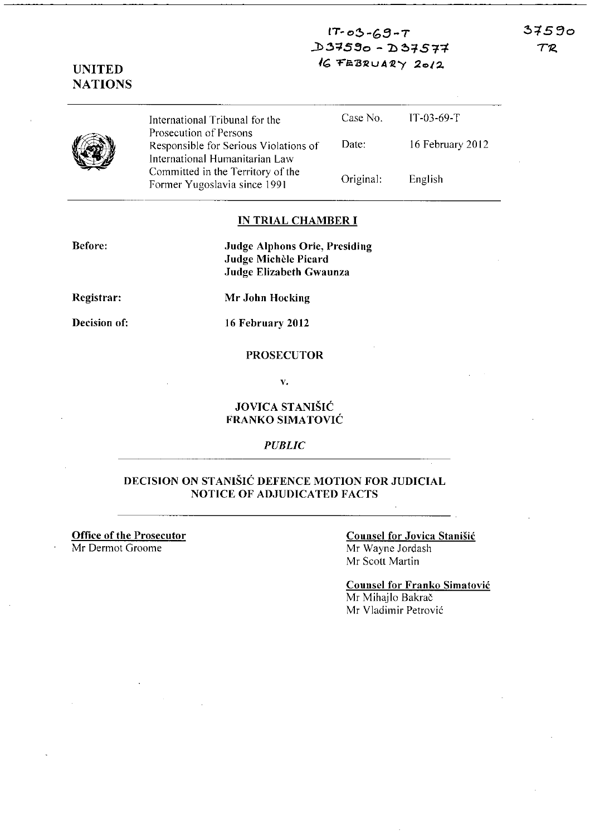$IT-03-69-T$ ..l>~:;IS **30 - ':b** ~::;ST+  $37590$  $T\mathcal{R}$ 

### **UNITED NATIONS**

International Tribunal for the Prosecution of Persons Responsible for Serious Violations of International Humanitarian Law Committed in the Territory of the Former Yugoslavia since 1991

Case No. Date: Original: JT-03-69-T 16 February 2012 English

#### **IN TRIAL CHAMBER I**

**Before:** 

**Judge Alphons Orie, Presiding Judge Michèle Picard Judge Elizabeth Gwaunza** 

**Registrar:** 

**Mr John Hocking** 

**Decision of:** 

**16 February 2012** 

#### **PROSECUTOR**

**v.** 

#### **JOVICA STANISIC FRANKO SIMATOVIC**

*PUBLIC* 

### **DECISION ON STANISIC DEFENCE MOTION FOR JUDICIAL NOTICE OF ADJUDICATED FACTS**

**Office of the Prosecutor** 

Mr Dermot Groome

#### **Counsel for Jovica StaniSic**  Mr Wayne Jordash

Mr Scott Martin

**Counsel for Franko Simatovic**  Mr Mihajlo Bakrač Mr Vladimir Petrovic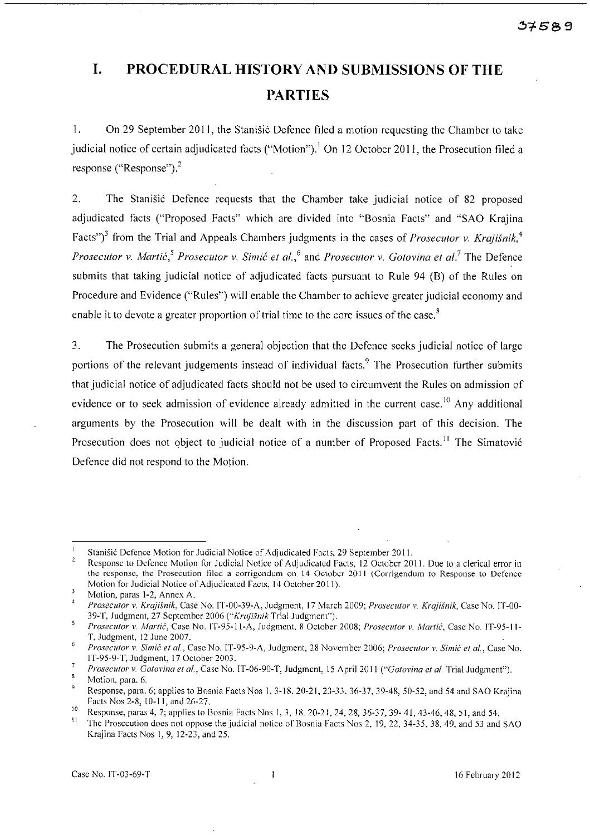# **I. PROCEDURAL HISTORY AND SUBMISSIONS OF THE PARTIES**

1. On 29 September 2011, the Stanisic Defence filed a motion requesting the Chamber to take judicial notice of certain adjudicated facts ("Motion").<sup>1</sup> On 12 October 2011, the Prosecution filed a response ("Response").<sup>2</sup>

2. The Stanisic Defence requests that the Chamber take judicial notice of 82 proposed adjudicated facts ("Proposed Facts" which are divided into "Bosnia Facts" and "SAO Krajina Facts<sup>"</sup>)<sup>3</sup> from the Trial and Appeals Chambers judgments in the cases of *Prosecutor v. Krajišnik*<sup>4</sup>, *Prosecutor* v. *Martic,' Prosecutor* v. *Simic et ai.,6* and *Prosecutor* v. *Gotovina et al.'* The Defence submits that taking judicial notice of adjudicated facts pursuant to Rule 94 (B) of the Rules on Procedure and Evidence ("Rules") will enable the Chamber to achieve greater judicial economy and enable it to devote a greater proportion of trial time to the core issues of the case. $^8$ 

3. The Prosecution submits a general objection that the Defence seeks judicial notice of large portions of the relevant judgements instead of individual facts.<sup>9</sup> The Prosecution further submits that judicial notice of adjudicated facts should not be used to circumvent the Rules on admission of evidence or to seek admission of evidence already admitted in the current case.<sup>10</sup> Any additional arguments by the Prosecution will be dealt with in the discussion part of this decision. The Prosecution does not object to judicial notice of a number of Proposed Facts.<sup>11</sup> The Simatović Defence did not respond to the Motion.

 $\mathbf{I}$ **Stanisic Defence Motion for Judicial Notice of Adjudicated Facts, 29 September 2011.** 

**Response to Defence Motion for Judicial Notice of Adjudicated Facts. 12 October 2011. Due to a clerical error in the response, the Prosecution filed a corrigcndum on 14 October 2011 (Corrigendum to Response to Defence Motion for Judicial Notice** of Adjudicated **Facts, 14 Octoher 2011).**   $\overline{1}$ 

**Motion, paras 1-2, Annex A.** 

*Prosecutor* **v.** *Krajisnik,* **Case No. IT-OO-39-A, Judgment, 17 March 2009;** *Prosecutor v. Krajisnik,* **Case No. IT-OO-**39-T, Judgment, 27 September 2006 ("Krajišnik Trial Judgment").

<sup>5</sup> *Prosecutor* **v,** *Martic,* **Case No. IT-95-II-A, Judgment, 8 October 2008;** *Prosecutor* **v.** *Martic,* **Case No. IT-95-11-** T, Judgment, 12 June 2007.  $\epsilon$ 

*Prosecutor v. Simic et al.,* **Case No. IT-95-9-/\, Judgment, 28 November 2006;** *Prosecutor* **v,** *Simic et al.,* **Case No.**  IT-95-9-T, Judgment. 17 October 2003.

 $\pmb{\tau}$ *Prosecutor* **v.** *Gotovina et al.,* **Case No.** *IT-06-90-T,* **Judgment, IS April 2011** *("Gotovina et al.* **Trial Judgment").** 

 $\overline{\mathbf{8}}$ **Motion, para. 6.** 

Q. Response, para. 6; applies to Bosnia Facts Nos 1, 3-18, 20-21, 23-33, 36-37, 39-48, 50-52, and 54 and SAO Krajina Facts Nos 2-8,10-11. and 26-27.

<sup>&</sup>lt;sup>10</sup> Response, paras 4, 7; applies to Bosnia Facts Nos 1, 3, 18, 20-21, 24, 28, 36-37, 39- 41, 43-46, 48, 51, and 54.<br><sup>11</sup> The Bester with the art survey the individual patients Chamin Facts No. 2, 10, 22, 24, 25, 29, 49,

The Prosecution does not oppose the judicial notice of Bosnia Facts Nos 2, 19, 22, 34-35, 38, 49, and 53 and SAO Krajina Facts Nos I, 9,12-23, and 25.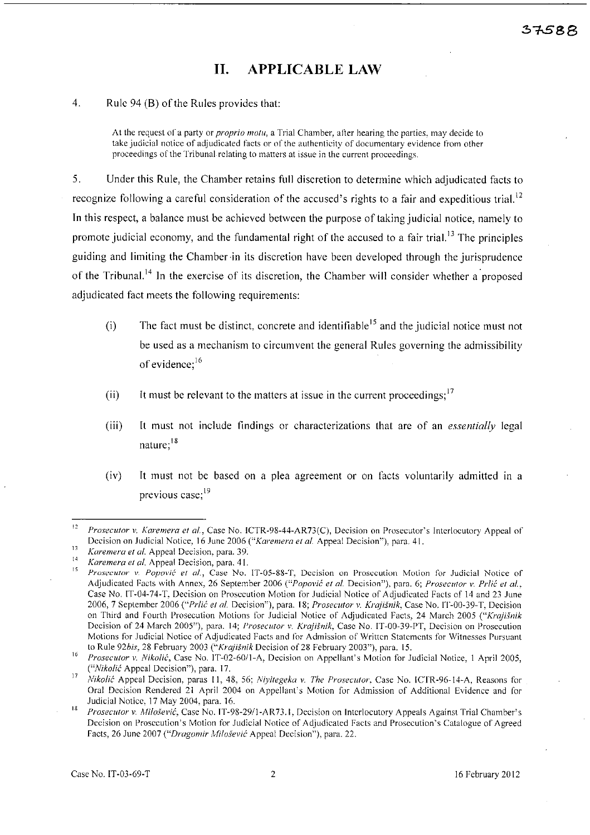# 11. APPLICABLE LAW

4. Rule 94 (B) of the Rules provides that:

At the request of a party or *proprio motu,* a Trial Chamber, after hearing the parties, may decide to take judicial notice of adjudicated facts or of the authenticity of documentary evidence from other proceedings of the Tribunal relating to matters at issue in the current proceedings.

5. Under this Rule, the Chamber retains full discretion to determine which adjudicated facts to recognize following a careful consideration of the accused's rights to a fair and expeditious trial.<sup>12</sup> In this respect, a balance must be achieved between the purpose of taking judicial notice, namely to promote judicial economy, and the fundamental right of the accused to a fair trial.<sup>13</sup> The principles guiding and limiting the Chamber in its discretion have been developed through the jurisprudence of the Tribunal.<sup>14</sup> In the exercise of its discretion, the Chamber will consider whether a proposed adjudicated fact meets the following requirements:

- (i) The fact must be distinct, concrete and identifiable<sup>15</sup> and the judicial notice must not be used as a mechanism to circumvent the general Rules governing the admissibility of evidence;<sup>16</sup>
- (ii) It must be relevant to the matters at issue in the current proceedings;  $17$
- (iii) It must not include findings or characterizations that are of an *essentially* legal nature;<sup>18</sup>
- (iv) It must not be based on a plea agreement or on facts voluntarily admitted in a previous case;<sup>19</sup>

<sup>&</sup>lt;sup>12</sup> Prosecutor v. Karemera et al., Case No. ICTR-98-44-AR73(C), Decision on Prosecutor's Interlocutory Appeal of Decision on Judicial Notice, 16 June 2006 *("Karemera et al. Appeal Decision")*, para. 41.

<sup>13</sup>*Karemera et al.* Appeal Decision, para. 39.

<sup>&</sup>lt;sup>14</sup> *Karemera et al.* Appeal Decision, para. 41.

<sup>15</sup>*Prosecutor* v. *Popovic et al.,* Case No. IT-05-88-T, Decision on Prosecution Motion for Judicial Notice of Adjudicated Facts with Annex, 26 September 2006 *("Popović et al. Decision")*, para. 6; *Prosecutor v. Prlić et al.*, Case No. IT-04-74-T, Decision on Prosecution Motion for Judicial Notice of Adjudicated Facts of 14 and 23 June 2006, 7 September 2006 *("Prlic et al.* Decision"), para. 18; *Prosecutor v. Krqjisnik,* Case No. 1'1'-00-39-T, Decision on Third and Fourth Prosecution Motions for Judicial Notice of Adjudicated Facts, 24 March 2005 ("Krajišnik Decision of 24 March *2005"),* para. 14; *Prosecutor v. Krajisnik,* Case No. IT-OO-39-PT, Decision on Prosecution Motions for Judicial Notice of Adjudicated Facts and for Admission of Written Statements for Witnesses Pursuant to Rule *92bis,* 28 February 2003 *("Krajisnik* Decision of28 February 2003"), para. *15.* 

<sup>16</sup>*Prosecutor* l'. *Nikolic,* Case No. IT-02-6011-A, Decision on Appellant's Motion for Judicial Notice, 1 April *2005, CNikolic* Appeal Decision"), para. 17.

*<sup>17</sup> Nikolii·* Appeal Decision, paras *11,48,56; Niyilegeka v. The Prosecutor,* Case No. lCTR-96-14-A, Reasons for Oral Decision Rendered 21 April 2004 on Appellant's Motion for Admission of Additional Evidence and for Judicial Notice, 17 May 2004, para. 16.

<sup>18</sup>*Prosecutor* v. *Milo§el'ic,* Case No. 1T-98-2911-AR 73.1, Decision on Interlocutory Appeals Against Trial Chamber's Decision on Prosecution's Motion for Judicial Notice of Adjudicated Facts and Prosecution's Catalogue of Agreed Facts, 26 June 2007 *("Dragomir Alilo§evic* Appeal Decision"), para. 22.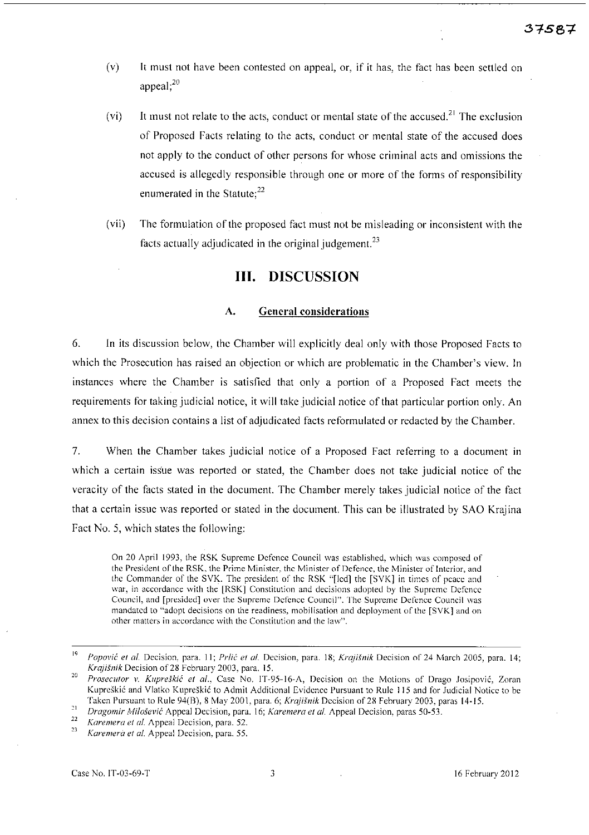- (v) It must not have been contested on appeal, or, if it has, the fact has been settled on appeal:<sup>20</sup>
- (vi) It must not relate to the acts, conduct or mental state of the accused.<sup>21</sup> The exclusion of Proposed Facts relating to the acts, conduct or mental state of the accused does not apply to the conduct of other persons for whose criminal acts and omissions the accused is allegedly responsible through one or more of the forms of responsibility enumerated in the Statute; $^{22}$
- (vii) The formulation of the proposed fact must not be misleading or inconsistent with the facts actually adjudicated in the original judgement.<sup>23</sup>

### III. DISCUSSION

#### A. General considerations

6. In its discussion below, the Chamber will explicitly deal only with those Proposed Facts to which the Prosecution has raised an objection or which are problematic in the Chamber's view. In instances where the Chamber is satisfied that only a portion of a Proposed Fact meets the requirements for taking judicial notice, it will take judicial notice of that particular portion only. An annex to this decision contains a list of adjudicated facts reformulated or redacted by the Chamber.

7. When the Chamber takes judicial notice of a Proposed Fact referring to a document in which a certain issue was reported or stated, the Chamber does not take judicial notice of the veracity of the facts stated in the document. The Chamber merely takes judicial notice of the fact that a certain issue was reported or stated in the document. This can be illustrated by SAO Krajina Fact No. 5, which states the following:

On 20 April 1993, the RSK Supreme Defence Council was established, which was composed of the President of the RSK, the Prime Minister, the Minister of Defence, the Minister of Interior, and the Commander of the SVK. The president of the RSK "[led] the [SVK] in times of peace and war, in accordance with the [RSK] Constitution and decisions adopted by the Supreme Defence Council, and [presided] over the Supreme Defence Council". The Supreme Defence Council \vas mandated to "adopt decisions on the readiness, mobilisation and deployment of the [SVK] and on other matters in accordance with the Constitution and the law".

<sup>19</sup>*Poporic et af.* Decision, para. 11; *Prlic et* 01, Decision, para. 18; *Krajisnik* Decision of 24 March 2005, para. 14; *Krajisnik* Decision of28 February 2003, para. 15.

<sup>&</sup>lt;sup>20</sup> Prosecutor v. Kupreškić et al., Case No. IT-95-16-A, Decision on the Motions of Drago Josipović, Zoran Kupreškić and Vlatko Kupreškić to Admit Additional Evidence Pursuant to Rule 115 and for Judicial Notice to be Taken Pursuant to Rule 94(B), 8 May 2001, para. 6; *Krajisnik* Decision of28 February 2003, paras 14-15.

<sup>21</sup>*Dragomir kfilosevic* Appeal Decision, para. 16; *Karemera et af.* Appeal Decision, paras 50-53.

*<sup>22</sup> Karemera et af.* Appeal Decision, para. 52.

Karemera et al. Appeal Decision, para. 55.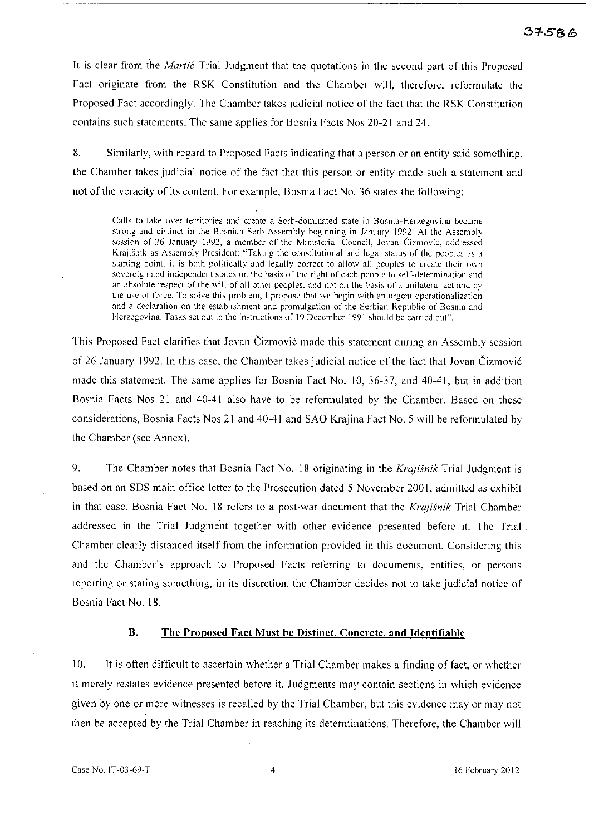### 37586

It is clear from the *Martic* Trial Judgment that the quotations in the second part of this Proposed Fact originate from the RSK Constitution and the Chamber will, therefore, reformulate the Proposed Fact accordingly. The Chamber takes judicial notice of the fact that the RSK Constitution contains such statements. The same applies for Bosnia Facts Nos 20-21 and 24.

8. Similarly, with regard to Proposed Facts indicating that a person or an entity said something, the Chamber takes judicial notice of the fact that this person or entity made such a statement and not of the veracity of its content. For example, Bosnia Fact No. 36 states the following:

**Calls to take over territories and create a Serb-dominated state in Rosnia-Herzegovina became strong and distinct in the Bosnian-Serb Assembly beginning in January 1992. At the Assembly session of 26 January 1992, a member of the Ministerial Council, ]ovan Cizmovic, addressed Krajisnik as Assembly President: "Taking the constitutional and legal status of the peoples as a starting point, it is both politically and legally correct to allow all peoples to create their own sovereign and independent states on the basis of the right of each people to self-determination and an absolute respect of'the will** of all **other peoples, and not on the basis ofa unilateral act and by the use of force. To solve this problem, I propose that we begin with an urgent operationalization and a declaration on the establishment and promulgation of the Serbian Republic of Bosnia and**  Herzegovina. Tasks set out in the instructions of 19 December 1991 should be carried out".

This Proposed Fact clarifies that Jovan Cizmovi6 made this statement during an Assembly session of 26 January 1992. **In** this case, the Chamber takes judicial notice of the fact that Jovan Cizmovi6 made this statement. The same applies for Bosnia Fact No. 10,36-37, and 40-41, but in addition Bosnia Facts Nos 21 and 40-41 also have to be reformulated by the Chamber. Based on these considerations, Bosnia Facts Nos 21 and 40-41 and SAO Krajina Fact No. 5 will be reformulated by the Chamber (see Annex).

9. The Chamber notes that Bosnia Fact No. 18 originating in the *Kraji.fnik* Trial Judgment is based on an SDS main office letter to the Prosecution dated 5 November 2001, admitted as exhibit in that case. Bosnia Fact No. 18 refers to a post-war document that the *Krajisnik* Trial Chamber addressed in the Trial Judgment together with other evidence presented before it. The Trial Chamber clearly distanced itself from the information provided in this document. Considering this and the Chamber's approach to Proposed Facts referring to documents, entities, or persons reporting or stating something, in its discretion, the Chamber decides not to take judicial notice of Bosnia Fact No. 18.

#### **B. The Proposed Fact Must be Distinct, Concrete, and Identifiahle**

10. It is often difficult to ascertain whether a Trial Chamber makes a finding of fact, or whether it merely restates evidence presented before it. Judgments may contain sections in which evidence given by one or more witnesses is recalled by the Trial Chamber, but this evidence mayor may not then be accepted by the Trial Chamber in reaching its determinations. Therefore, the Chamber will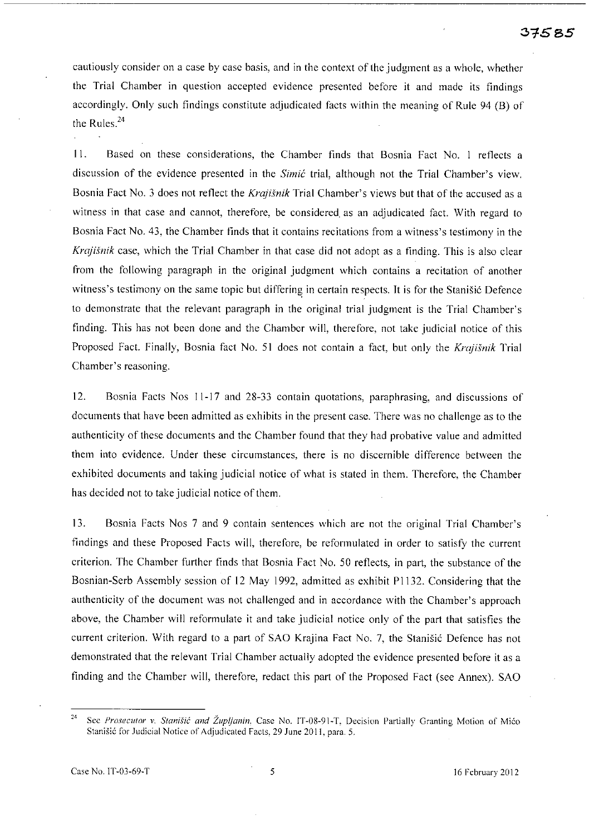cautiously consider on a case by case basis, and in the context of the judgment as a whole, whether the Trial Chamber in question accepted evidence presented before it and made its findings accordingly, Only such findings constitute adjudicated facts within the meaning of Rule 94 (B) of the Rules. $^{24}$ 

11. Based on these considerations, the Chamber finds that Bosnia Fact No. I reflects a discussion of the evidence presented in the *Simit* trial, although not the Trial Chamber's view. Bosnia Fact No. 3 does not reflect the *Krajisnik* Trial Chamber's views but that of the accused as a witness in that case and cannot, therefore, be considered. as an adjudicated fact. With regard to Bosnia Fact No. 43, the Chamber tinds that it contains recitations from a witness's testimony in the *Krajisnik* case, which the Trial Chamber in that case did not adopt as a finding. This is also clear from the following paragraph in thc original judgment which contains a recitation of another witness's testimony on the same topic but differing in certain respects. It is for the Stanisić Defence to demonstrate that the relevant paragraph in the original trial judgment is the Trial Chamber's finding. This has not been done and the Chamber will, therefore, not take judicial notice of this Proposed Fact. Finally, Bosnia fact No. 51 does not contain a fact, but only the *Krajisnik* Trial Chamber's reasoning.

12. Bosnia Facts Nos 11-17 and 28-33 contain quotations, paraphrasing, and discussions of documents that have been admitted as exhibits in the present case. There was no challenge as to the authenticity of these documents and the Chamber found that they had probative value and admitted them into evidence. Under these circumstances, there is no discernible difference between the exhibited documents and taking judicial notice of what is stated in them. Therefore, the Chamber has decided not to take judicial notice of them.

13. Bosnia Facts Nos 7 and 9 contain sentences which are not the original Trial Chamber's findings and these Proposed Facts will, therefore, be reformulated in order to satisfy the current criterion. The Chamber further finds that Bosnia Fact No. 50 reflects, in part, the substance of the Bosnian-Serb Assembly session of 12 May 1992, admitted as exhibit P1132. Considering that the authenticity of the document was not challenged and in accordance with the Chamber's approach above, the Chamber will reformulate it and take judicial notice only of the part that satisfies the current criterion. With regard to a part of SAO Krajina Fact No. 7, the Stanišić Defence has not demonstrated that the relevant Trial Chamber actually adopted the evidence presented before it as a finding and the Chamber will, therefore, redact this part of the Proposed Fact (see Annex). SAO

<sup>&</sup>lt;sup>24</sup> Sec *Prosecutor v. Stanišić and Župljanin*, Case No. IT-08-91-T, Decision Partially Granting Motion of Mićo Stanisi6 for Judicial Notice of Adjudicated Facts, 29 **June** 2011, para. 5.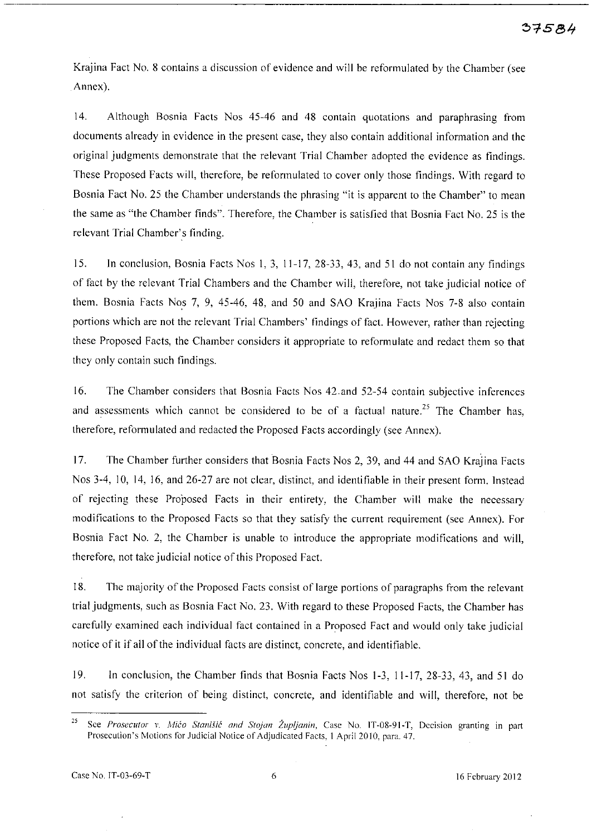Krajina Fact No. 8 contains a discussion of evidence and will be reformulated by the Chamber (see Annex).

14. Although Bosnia Facts Nos 45-46 and 48 contain quotations and paraphrasing from documents already in evidence in the present case, they also contain additional information and the original judgments demonstrate that the relevant Trial Chamber adopted the evidence as findings. These Proposed Facts will, therefore, be reformulated to cover only those findings. With regard to Bosnia Fact No. 25 the Chamber understands the phrasing "it is apparent to the Chamber" to mean the same as "the Chamber finds". Therefore, the Chamber is satisfied that Bosnia Fact No. 25 is the relevant Trial Chamber's finding.

15. In conclusion, Bosnia Facts Nos 1, 3, 11-17,28-33,43, and 51 do not contain any findings of fact by the relevant Trial Chambers and the Chamber will, therefore, not take judicial notice of them. Bosnia Facts Nos 7, 9, 45-46, 48, and 50 and SAO Krajina Facts Nos 7-8 also contain portions which are not the relevant Trial Chambers' findings of fact. However, rather than rejecting these Proposed Facts, the Chamber considers it appropriate to reformulate and redact them so that they only contain such findings.

16. The Chamber considers that Bosnia Facts Nos 42.and 52-54 contain subjective inferences and assessments which cannot be considered to be of a factual nature.<sup>25</sup> The Chamber has, therefore, reformulated and redacted the Proposed Facts accordingly (see Annex).

17. The Chamber further considers that Bosnia Facts Nos 2, 39, and 44 and SAO Krajina Facts Nos 3-4, 10, 14, 16, and 26-27 are not clear, distinct, and identifiable in their present form. Instead of rejecting these Proposed Facts in their entirety, the Chamber will make the necessary modifications to the Proposed Facts so that they satisfy the current requirement (see Annex). For Bosnia Fact No. 2, the Chamber is unable to introduce the appropriate modifications and will, therefore, not take judicial notice of this Proposed Fact.

18. The majority of the Proposed Facts consist of large portions of paragraphs from the relevant trial judgments, such as Bosnia Fact No. 23. With regard to these Proposed Facts, the Chamber has carefully examined each individual fact contained in a Proposed Fact and would only take judicial notice of it if all of the individual facts are distinct, concrete, and identifiable.

19. In conclusion, the Chamber finds that Bosnia Facts Nos 1-3, 11-17, 28-33, 43, and 51 do not satisfy the criterion of being distinct, concrete, and identifiable and will, therefore, not be

**<sup>25</sup> Sce** *Prosecutor v. Mica Stanisic and Stojan Zup/janin,* **Case No. IT-08-91-T, Decision granting in part**  Prosecution's Motions for Judicial Notice of Adjudicated Facts, 1 April 2010, para. 47.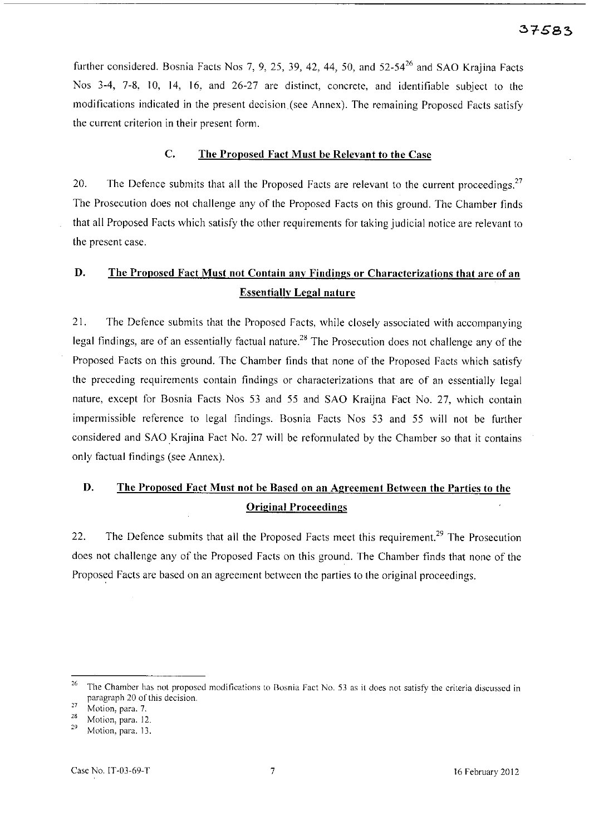further considered. Bosnia Facts Nos 7, 9, 25, 39, 42, 44, 50, and  $52-54^{26}$  and SAO Krajina Facts Nos 3-4, 7-8, 10, 14, 16, and 26-27 are distinct, concrete, and identifiable subject to the modifications indicated in the present decision (see Annex). The remaining Proposed Facts satisfy the current criterion in their present form.

#### C. The Proposed Fact Must be Relevant to the Case

20. The Defence submits that all the Proposed Facts are relevant to the current proceedings.<sup>27</sup> The Prosecution does not challenge any of the Proposed Facts on this ground. The Chamber finds that all Proposed Facts which satisfy the other requirements for taking judicial notice are relevant to the present case.

# D. The Proposed Fact Must not Contain any Findings or Characterizations that are of an Essentially Legal nature

21. The Defence submits that the Proposed Facts, while closely associated with accompanying legal findings, are of an essentially factual nature.<sup>28</sup> The Prosecution does not challenge any of the Proposed Facts on this ground. The Chamber finds that none of the Proposed Facts which satisfy the preceding requirements contain findings or characterizations that are of an essentially legal nature, except for Bosnia Facts Nos 53 and 55 and SAO Kraijna Fact No. 27, which contain impermissible reference to legal findings. Bosnia Facts Nos 53 and 55 will not be further considered and SAO Krajina Fact No. 27 will be reformulated by the Chamber so that it contains only factual findings (see Annex).

# D. The Proposed Fact Must not be Based on an Agreement Between the Parties to the Original Proceedings

22. The Defence submits that all the Proposed Facts meet this requirement.<sup>29</sup> The Prosecution does not challenge any of the Proposed Facts on this ground. The Chamber finds that none of the Proposed Facts are based on an agreement between the parties to the original proceedings.

<sup>&</sup>lt;sup>26</sup> The Chamber has not proposed modifications to Bosnia Fact No. 53 as it does not satisfy the criteria discussed in paragraph 20 of this decision.

 $\frac{27}{28}$  Motion, para. 7.

 $\frac{28}{29}$  Motion, para. 12.

Motion, para. 13.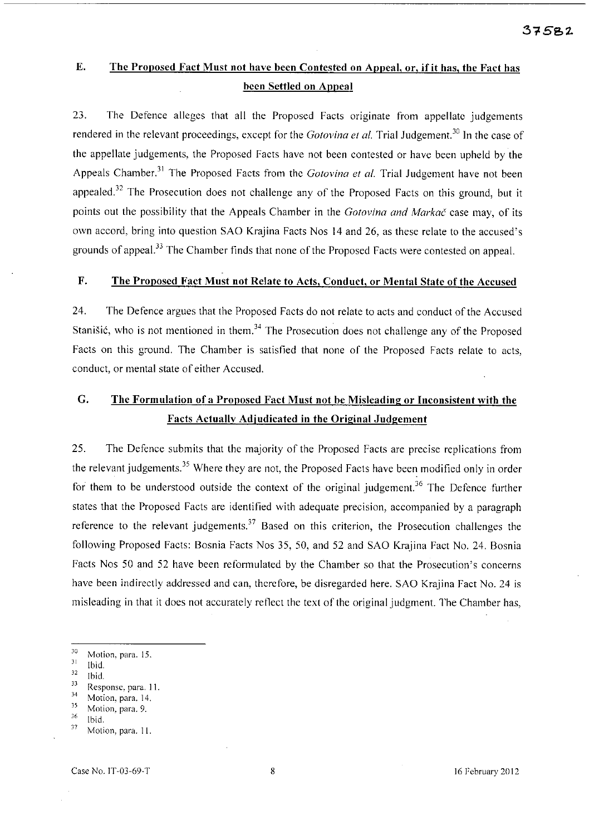# E. The Proposed Fact Must not have been Contested on Appeal, or, if it has, the Fact has been Settled on Appeal

23. The Defence alleges that all the Proposed Facts originate from appellate judgements rendered in the relevant proceedings, except for the *Gotovina et al.* Trial Judgement.<sup>30</sup> In the case of the appellate judgements, the Proposed Facts have not been contested or have been upheld by the Appeals Chamber.<sup>31</sup> The Proposed Facts from the *Gotovina et al.* Trial Judgement have not been appealed.<sup>32</sup> The Prosecution does not challenge any of the Proposed Facts on this ground, but it points out the possibility that the Appeals Chamber in the *Gotovina and Markac* case may, of its own accord, bring into question SAO Krajina Facts Nos 14 and 26, as these relate to the accused's grounds of appeal.<sup>33</sup> The Chamber finds that none of the Proposed Facts were contested on appeal.

### F. The Proposed Fact Must not Relate to Acts, Conduct, or Mental State of the Accused

24. The Defence argues that the Proposed Facts do not relate to acts and conduct of the Accused Stanišić, who is not mentioned in them.<sup>34</sup> The Prosecution does not challenge any of the Proposed Facts on this ground. The Chamber is satisfied that none of the Proposed Facts relate to acts, conduct, or mental state of either Accused.

# G. The Formulation of a Proposed Fact Must not be Misleading or Inconsistent with the Facts Actuallv Adjudicated in the Original Judgement

25. The Defence submits that the majority of the Proposed Facts are precise replications from the relevant judgements.<sup>35</sup> Where they are not, the Proposed Facts have been modified only in order for them to be understood outside the context of the original judgement.<sup>36</sup> The Defence further states that the Proposed Facts arc identified with adequate precision, accompanied by a paragraph reference to the relevant judgements.<sup>37</sup> Based on this criterion, the Prosecution challenges the following Proposed Facts: Bosnia Facts Nos 35, 50, and 52 and SAO Krajina Fact No. 24. Bosnia Facts Nos 50 and 52 have been reformulated by the Chamber so that the Prosecution's concerns have been indirectly addressed and can, therefore, be disregarded here. SAO Krajina Fact No. 24 is misleading in that it does not accurately reflect the text of the original judgment. The Chamber has,

 $\frac{30}{31}$  Motion, para. 15.

 $\frac{31}{32}$  Ibid.

 $\frac{32}{33}$  Ibid.

 $\frac{33}{34}$  Response, para. 11.

 $\frac{34}{35}$  Motion, para. 14.

 $\frac{35}{36}$  Motion, para. 9.

 $\frac{36}{37}$  Ibid.

Motion, para. 11.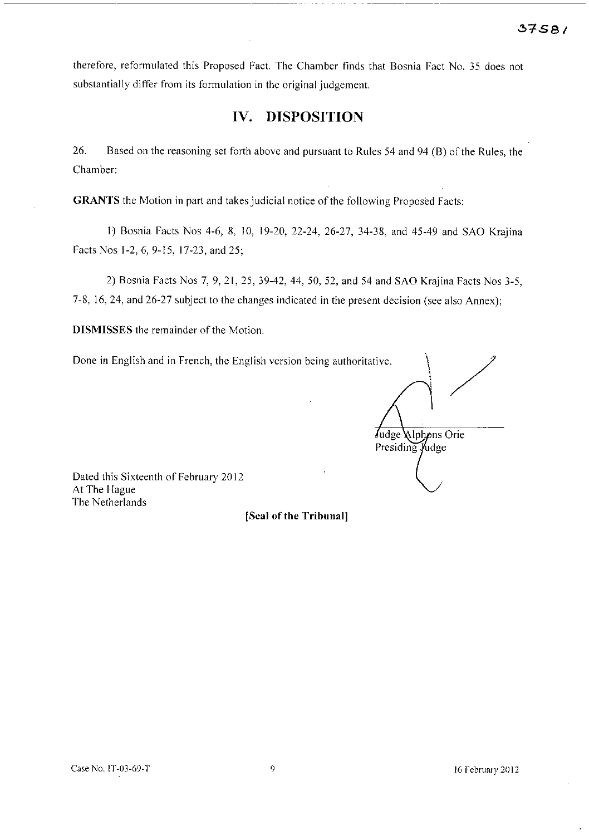-------------------

therefore, reformulated this Proposed Fact. The Chamber finds that Bosnia Fact No. 35 does not substantially differ from its formulation in the original judgement.

### **IV. DISPOSITION**

26. Based on the reasoning set forth above and pursuant to Rules 54 and 94 (B) of the Rules, the Chamber:

**GRANTS** the Motion in part and takes judicial notice of the following Proposed Facts:

I) Bosnia Facts Nos 4-6, 8, 10, 19-20,22-24, 26-27, 34-38, and 45-49 and SAO Krajina Facts Nos 1-2, 6, 9-15, 17-23, and 25;

2) Bosnia Facts Nos 7, 9, 21, 25, 39-42, 44, 50, 52, and 54 and SAO Krajina Facts Nos 3-5, 7-8, 16,24, and 26-27 subject to the changes indicated in the present decision (see also Annex);

**DISMISSES** the remainder of the Motion.

Done in English and in French, the English version being authoritative.

/ Judge Alphons Orie Presiding Judge

Dated this Sixteenth of February 2012 At The Hague The Netherlands

[Seal of the Tribunal]

16 February 2012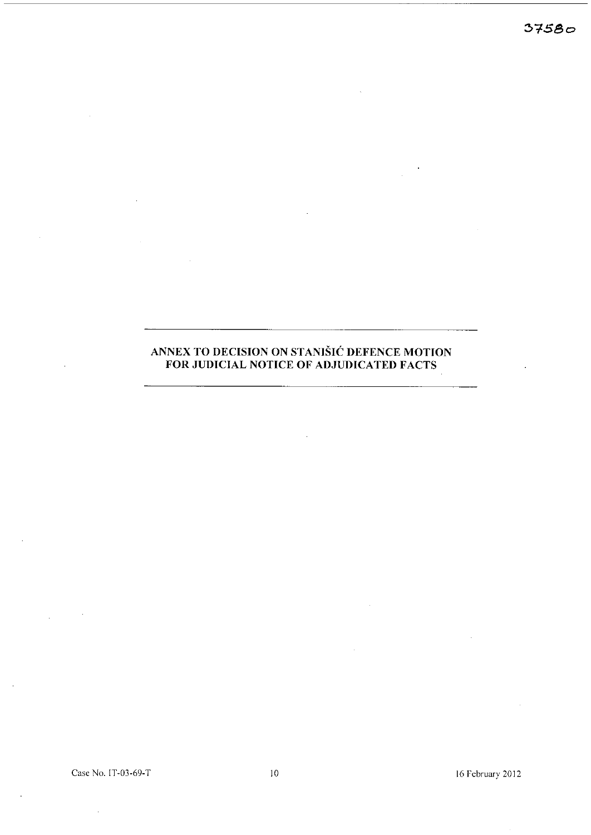$37580$ 

### **ANNEX TO DECISION ON STANISIC DEFENCE MOTION FOR JUDICIAL NOTICE OF ADJUDICATED FACTS**

Case No. IT-03-69-T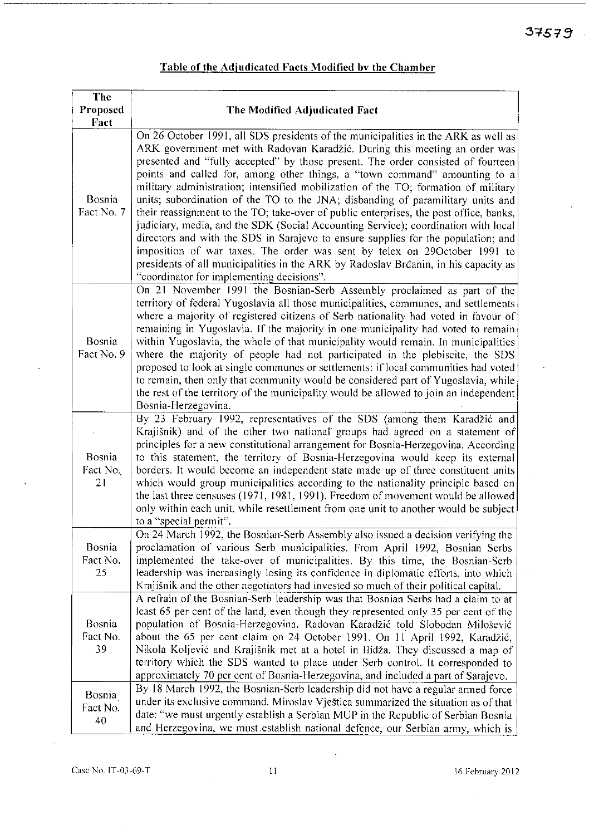| The                      |                                                                                                                                                                                                                                                                                                                                                                                                                                                                                                                                                                                                                                                                                                                                                                                                                                                                                                                                                                                                   |
|--------------------------|---------------------------------------------------------------------------------------------------------------------------------------------------------------------------------------------------------------------------------------------------------------------------------------------------------------------------------------------------------------------------------------------------------------------------------------------------------------------------------------------------------------------------------------------------------------------------------------------------------------------------------------------------------------------------------------------------------------------------------------------------------------------------------------------------------------------------------------------------------------------------------------------------------------------------------------------------------------------------------------------------|
| Proposed                 | The Modified Adjudicated Fact                                                                                                                                                                                                                                                                                                                                                                                                                                                                                                                                                                                                                                                                                                                                                                                                                                                                                                                                                                     |
| Fact                     |                                                                                                                                                                                                                                                                                                                                                                                                                                                                                                                                                                                                                                                                                                                                                                                                                                                                                                                                                                                                   |
| Bosnia<br>Fact No. 7     | On 26 October 1991, all SDS presidents of the municipalities in the ARK as well as<br>ARK government met with Radovan Karadžić. During this meeting an order was<br>presented and "fully accepted" by those present. The order consisted of fourteen<br>points and called for, among other things, a "town command" amounting to a<br>military administration; intensified mobilization of the TO; formation of military<br>units; subordination of the TO to the JNA; disbanding of paramilitary units and<br>their reassignment to the TO; take-over of public enterprises, the post office, banks,<br>judiciary, media, and the SDK (Social Accounting Service); coordination with local<br>directors and with the SDS in Sarajevo to ensure supplies for the population; and<br>imposition of war taxes. The order was sent by telex on 29October 1991 to<br>presidents of all municipalities in the ARK by Radoslav Brđanin, in his capacity as<br>"coordinator for implementing decisions". |
| Bosnia<br>Fact No. 9     | On 21 November 1991 the Bosnian-Serb Assembly proclaimed as part of the<br>territory of federal Yugoslavia all those municipalities, communes, and settlements<br>where a majority of registered citizens of Serb nationality had voted in favour of<br>remaining in Yugoslavia. If the majority in one municipality had voted to remain<br>within Yugoslavia, the whole of that municipality would remain. In municipalities<br>where the majority of people had not participated in the plebiscite, the SDS<br>proposed to look at single communes or settlements: if local communities had voted<br>to remain, then only that community would be considered part of Yugoslavia, while<br>the rest of the territory of the municipality would be allowed to join an independent<br>Bosnia-Herzegovina.                                                                                                                                                                                          |
| Bosnia<br>Fact No.<br>21 | By 23 February 1992, representatives of the SDS (among them Karadžić and<br>Krajišnik) and of the other two national groups had agreed on a statement of<br>principles for a new constitutional arrangement for Bosnia-Herzegovina. According<br>to this statement, the territory of Bosnia-Herzegovina would keep its external<br>borders. It would become an independent state made up of three constituent units<br>which would group municipalities according to the nationality principle based on<br>the last three censuses (1971, 1981, 1991). Freedom of movement would be allowed<br>only within each unit, while resettlement from one unit to another would be subject<br>to a "special permit".                                                                                                                                                                                                                                                                                      |
| Bosnia<br>Fact No.<br>25 | On 24 March 1992, the Bosnian-Serb Assembly also issued a decision verifying the<br>proclamation of various Serb municipalities. From April 1992, Bosnian Serbs<br>implemented the take-over of municipalities. By this time, the Bosnian-Serb<br>leadership was increasingly losing its confidence in diplomatic efforts, into which<br>Krajišnik and the other negotiators had invested so much of their political capital.                                                                                                                                                                                                                                                                                                                                                                                                                                                                                                                                                                     |
| Bosnia<br>Fact No.<br>39 | A refrain of the Bosnian-Serb leadership was that Bosnian Serbs had a claim to at<br>least 65 per cent of the land, even though they represented only 35 per cent of the<br>population of Bosnia-Herzegovina. Radovan Karadžić told Slobodan Milošević<br>about the 65 per cent claim on 24 October 1991. On 11 April 1992, Karadžić,<br>Nikola Koljević and Krajišnik met at a hotel in Ilidža. They discussed a map of<br>territory which the SDS wanted to place under Serb control. It corresponded to<br>approximately 70 per cent of Bosnia-Herzegovina, and included a part of Sarajevo.                                                                                                                                                                                                                                                                                                                                                                                                   |
| Bosnia<br>Fact No.<br>40 | By 18 March 1992, the Bosnian-Serb leadership did not have a regular armed force<br>under its exclusive command. Miroslav Vještica summarized the situation as of that<br>date: "we must urgently establish a Serbian MUP in the Republic of Serbian Bosnia<br>and Herzegovina, we must establish national defence, our Serbian army, which is                                                                                                                                                                                                                                                                                                                                                                                                                                                                                                                                                                                                                                                    |

# **Table of the Adjudicated Facts Modified by the Chamber**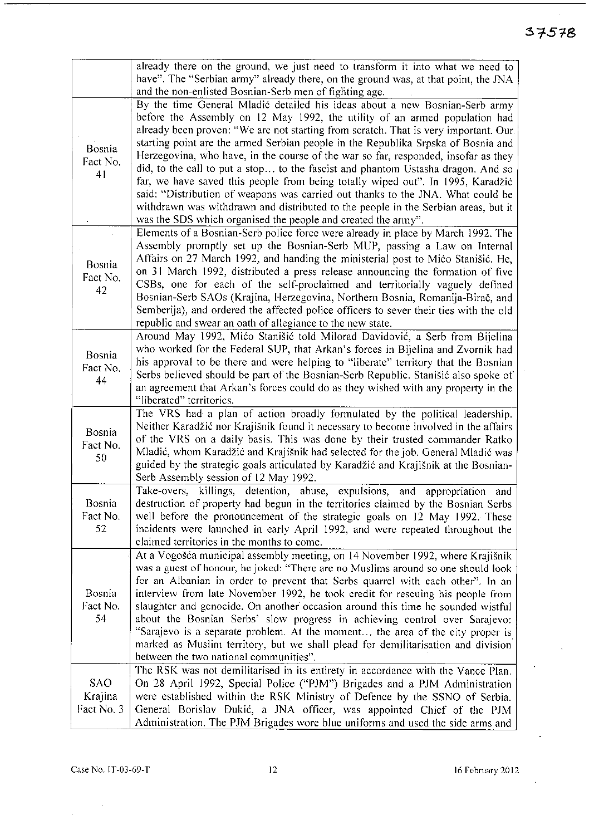$\sim$ 

|                                     | already there on the ground, we just need to transform it into what we need to<br>have". The "Serbian army" already there, on the ground was, at that point, the JNA<br>and the non-enlisted Bosnian-Serb men of fighting age.                                                                                                                                                                                                                                                                                                                                                                                                                                                                                                                                                                                                                |
|-------------------------------------|-----------------------------------------------------------------------------------------------------------------------------------------------------------------------------------------------------------------------------------------------------------------------------------------------------------------------------------------------------------------------------------------------------------------------------------------------------------------------------------------------------------------------------------------------------------------------------------------------------------------------------------------------------------------------------------------------------------------------------------------------------------------------------------------------------------------------------------------------|
| Bosnia<br>Fact No.<br>41            | By the time General Mladić detailed his ideas about a new Bosnian-Serb army<br>before the Assembly on 12 May 1992, the utility of an armed population had<br>already been proven: "We are not starting from scratch. That is very important. Our.<br>starting point are the armed Serbian people in the Republika Srpska of Bosnia and<br>Herzegovina, who have, in the course of the war so far, responded, insofar as they<br>did, to the call to put a stop to the fascist and phantom Ustasha dragon. And so<br>far, we have saved this people from being totally wiped out". In 1995, Karadžić<br>said: "Distribution of weapons was carried out thanks to the JNA. What could be<br>withdrawn was withdrawn and distributed to the people in the Serbian areas, but it<br>was the SDS which organised the people and created the army". |
| Bosnia<br>Fact No.<br>42            | Elements of a Bosnian-Serb police force were already in place by March 1992. The<br>Assembly promptly set up the Bosnian-Serb MUP, passing a Law on Internal<br>Affairs on 27 March 1992, and handing the ministerial post to Mićo Stanišić. He,<br>on 31 March 1992, distributed a press release announcing the formation of five<br>CSBs, one for each of the self-proclaimed and territorially vaguely defined<br>Bosnian-Serb SAOs (Krajina, Herzegovina, Northern Bosnia, Romanija-Birač, and<br>Semberija), and ordered the affected police officers to sever their ties with the old<br>republic and swear an oath of allegiance to the new state.                                                                                                                                                                                     |
| Bosnia<br>Fact No.<br>44            | Around May 1992, Mićo Stanišić told Milorad Davidović, a Serb from Bijelina<br>who worked for the Federal SUP, that Arkan's forces in Bijelina and Zvornik had<br>his approval to be there and were helping to "liberate" territory that the Bosnian<br>Serbs believed should be part of the Bosnian-Serb Republic. Stanišić also spoke of<br>an agreement that Arkan's forces could do as they wished with any property in the<br>"liberated" territories.                                                                                                                                                                                                                                                                                                                                                                                   |
| Bosnia<br>Fact No.<br>50            | The VRS had a plan of action broadly formulated by the political leadership.<br>Neither Karadžić nor Krajišnik found it necessary to become involved in the affairs<br>of the VRS on a daily basis. This was done by their trusted commander Ratko<br>Mladić, whom Karadžić and Krajišnik had selected for the job. General Mladić was<br>guided by the strategic goals articulated by Karadžić and Krajišnik at the Bosnian-<br>Serb Assembly session of 12 May 1992.                                                                                                                                                                                                                                                                                                                                                                        |
| Bosnia<br>Fact No.<br>52            | killings, detention, abuse, expulsions, and appropriation<br>Take-overs,<br>and<br>destruction of property had begun in the territories claimed by the Bosnian Serbs<br>well before the pronouncement of the strategic goals on 12 May 1992. These<br>incidents were launched in early April 1992, and were repeated throughout the<br>claimed territories in the months to come.                                                                                                                                                                                                                                                                                                                                                                                                                                                             |
| Bosnia<br>Fact No.<br>54            | At a Vogošća municipal assembly meeting, on 14 November 1992, where Krajišnik<br>was a guest of honour, he joked: "There are no Muslims around so one should look<br>for an Albanian in order to prevent that Serbs quarrel with each other". In an<br>interview from late November 1992, he took credit for rescuing his people from<br>slaughter and genocide. On another occasion around this time he sounded wistful<br>about the Bosnian Serbs' slow progress in achieving control over Sarajevo:<br>"Sarajevo is a separate problem. At the moment the area of the city proper is<br>marked as Muslim territory, but we shall plead for demilitarisation and division<br>between the two national communities".                                                                                                                         |
| <b>SAO</b><br>Krajina<br>Fact No. 3 | The RSK was not demilitarised in its entirety in accordance with the Vance Plan.<br>On 28 April 1992, Special Police ("PJM") Brigades and a PJM Administration<br>were established within the RSK Ministry of Defence by the SSNO of Serbia.<br>General Borislav Đukić, a JNA officer, was appointed Chief of the PJM<br>Administration. The PJM Brigades wore blue uniforms and used the side arms and                                                                                                                                                                                                                                                                                                                                                                                                                                       |

 $\sim$   $\sim$ 

 $\hat{\mathcal{A}}$ 

 $\mathbf{r}$ 

 $\bar{\mathbf{A}}$